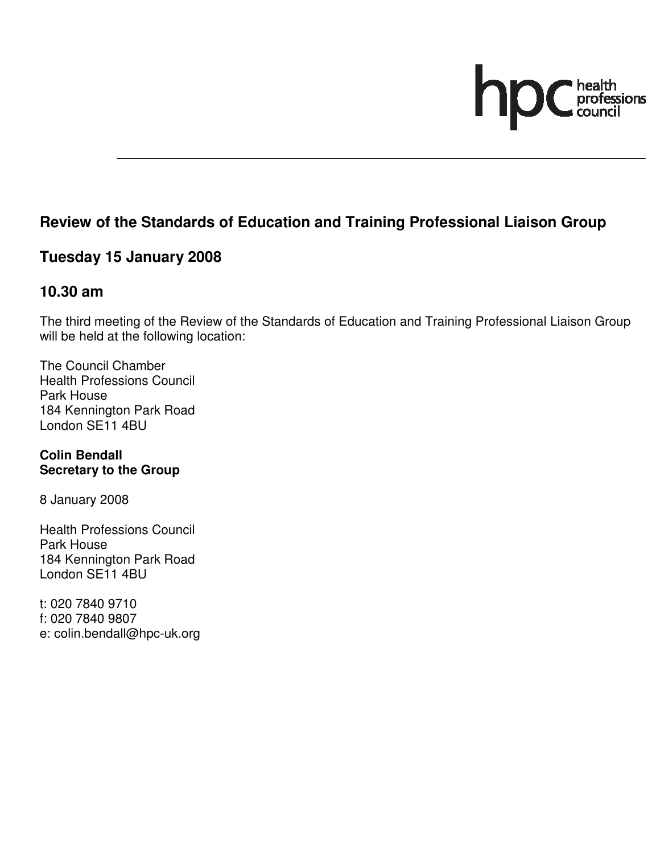# hr health<br>professions<br>council

# **Review of the Standards of Education and Training Professional Liaison Group**

# **Tuesday 15 January 2008**

### **10.30 am**

The third meeting of the Review of the Standards of Education and Training Professional Liaison Group will be held at the following location:

The Council Chamber Health Professions Council Park House 184 Kennington Park Road London SE11 4BU

**Colin Bendall Secretary to the Group** 

8 January 2008

Health Professions Council Park House 184 Kennington Park Road London SE11 4BU

t: 020 7840 9710 f: 020 7840 9807 e: colin.bendall@hpc-uk.org